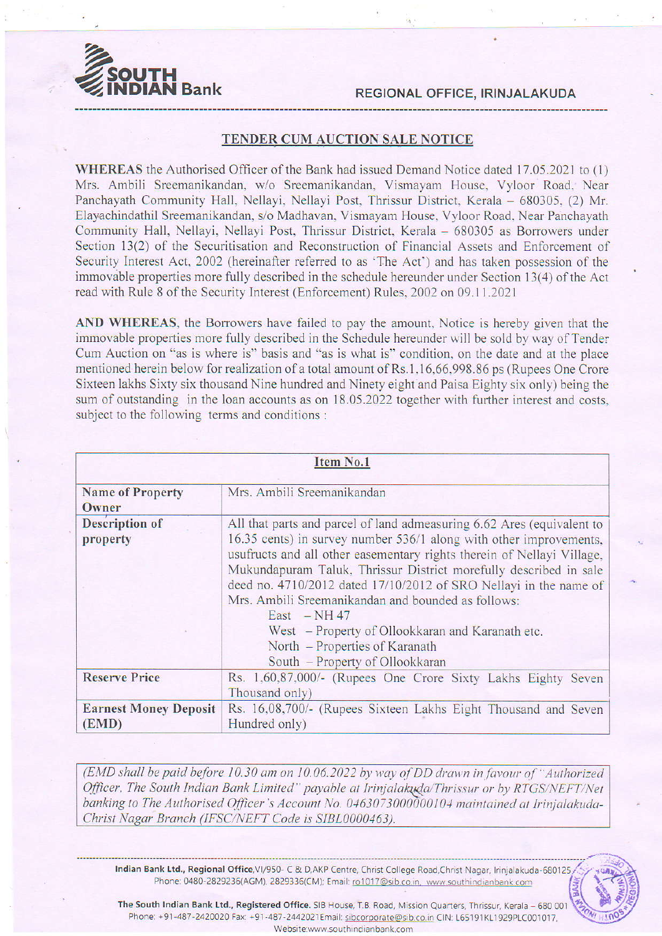



## TENDER CUM AUCTION SALE NOTICE

WHEREAS the Authorised Officer of the Bank had issued Demand Notice dated 17.05.2021 to (1) Mrs. Ambili Sreemanikandan. w/o Sreemanikandan, Vismayanr House. Vyloor Road. Near Panchayath Community Hall, Nellayi, Nellayi Post, Thrissur District, Kerala - 680305, (2) Mr. Elayachindathil Sreemanikandan, s/o Madhavan, Vismayam House, Vyloor Road, Near Panchayath Community Hall, Nellayi, Nellayi Post, Thrissur District, Kerala - 680305 as Borrowers under Section 13(2) of the Securitisation and Reconstruction of Financial Assets and Enforcement of Security Interest Act, 2002 (hereinafter referred to as 'The Act') and has taken possession of the immovable properties more fully described in the schedule hereunder under Section 13(4) of the Act read with Rule 8 of the Security Interest (Enforcement) Rules, 2002 on 09.11.2021

AND WHEREAS. the Borrowers have failed to pay the amount. Notice is hereby given that the immovable properties more fully described in the Schedule hereunder will be sold by way of Tender Cum Auction on "as is where is" basis and "as is what is" condition, on the date and at the place mentioned herein below for realization of a total amount of Rs.1,16,66,998.86 ps (Rupees One Crore Sixteen lakhs Sixty six thousand Nine hundred and Ninety eight and Paisa Eighty six only) being the sum of outstanding in the loan accounts as on 18.05.2022 together with further interest and costs, subject to the following terms and conditions :

|                                       | <b>Item No.1</b>                                                                                                                                                                                                                                                                                                                                                                                                                                                                                                                                                                               |  |  |  |
|---------------------------------------|------------------------------------------------------------------------------------------------------------------------------------------------------------------------------------------------------------------------------------------------------------------------------------------------------------------------------------------------------------------------------------------------------------------------------------------------------------------------------------------------------------------------------------------------------------------------------------------------|--|--|--|
| <b>Name of Property</b><br>Owner      | Mrs. Ambili Sreemanikandan<br>All that parts and parcel of land admeasuring 6.62 Ares (equivalent to<br>16.35 cents) in survey number 536/1 along with other improvements,<br>usufructs and all other easementary rights therein of Nellayi Village,<br>Mukundapuram Taluk, Thrissur District morefully described in sale<br>deed no. 4710/2012 dated 17/10/2012 of SRO Nellayi in the name of<br>Mrs. Ambili Sreemanikandan and bounded as follows:<br>East $-NH$ 47<br>West - Property of Ollookkaran and Karanath etc.<br>North – Properties of Karanath<br>South - Property of Ollookkaran |  |  |  |
| <b>Description of</b><br>property     |                                                                                                                                                                                                                                                                                                                                                                                                                                                                                                                                                                                                |  |  |  |
| <b>Reserve Price</b>                  | Rs. 1,60,87,000/- (Rupees One Crore Sixty Lakhs Eighty Seven<br>Thousand only)                                                                                                                                                                                                                                                                                                                                                                                                                                                                                                                 |  |  |  |
| <b>Earnest Money Deposit</b><br>(EMD) | Rs. 16,08,700/- (Rupees Sixteen Lakhs Eight Thousand and Seven<br>Hundred only)                                                                                                                                                                                                                                                                                                                                                                                                                                                                                                                |  |  |  |

(EMD shall be paid before 10.30 am on 10.06.2022 by way of DD drawn in favour of "Authorized Officer, The South Indian Bank Limited" payable at Irinjalakuda/Thrissur or by RTGS/NEFT/Net banking to The Authorised Officer's Account No. 0463073000000104 maintained at Irinjalakuda-Christ Nagar Branch (IFSC/NEFT Code is SIBL0000463).

Indian Bank Ltd., Regional Office, VI/950- C & D, AKP Centre, Christ College Road, Christ Nagar, Irinjalakuda-680125 Phone: 0480-2829236(AGM), 2829336(CM); Email: ro1017@sib.co.in, www.southindianbank.com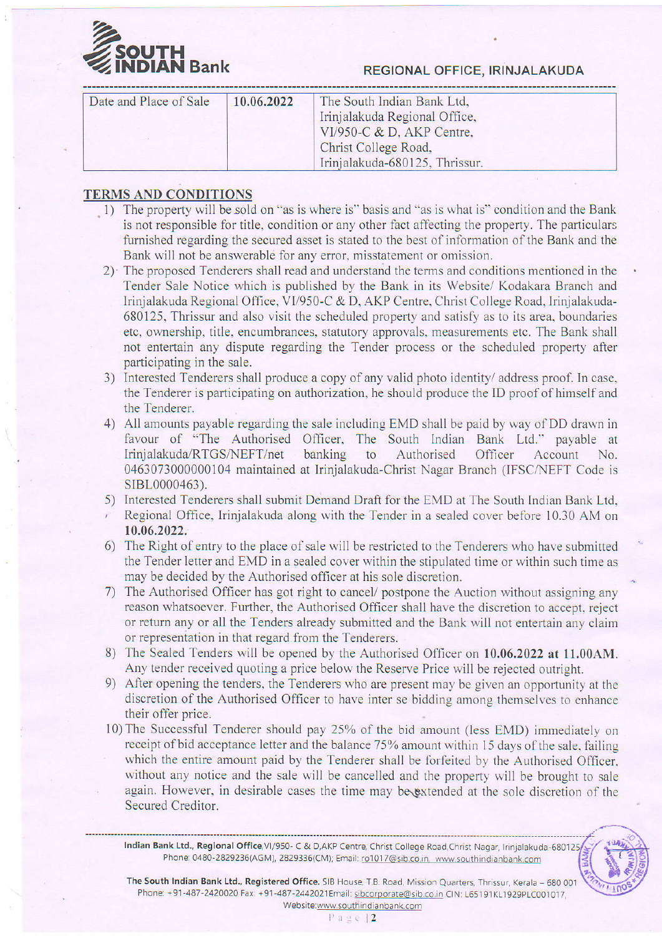

## **AN Bank** REGIONAL OFFICE, IRINJALAKUDA

| Date and Place of Sale | 10.06.2022 | The South Indian Bank Ltd,<br>Irinjalakuda Regional Office,<br>VI/950-C $&$ D, AKP Centre,<br>Christ College Road, |  |
|------------------------|------------|--------------------------------------------------------------------------------------------------------------------|--|
|                        |            | Irinjalakuda-680125, Thrissur.                                                                                     |  |

## TERMS AND CONDITIONS

- 1) The property will be sold on "as is where is" basis and "as is what is" condition and the Bank is not responsible for title, condition or any other fact affecting the property. The particulars furnished regarding the secured asset is stated to the best of information of the Bank and the Bank will not be answerable for any error, misstatement or omission.
- 2) The proposed Tenderers shall read and understand the ierms and conditions mentioned in the Tender Sale Notice which is published by the Bank in its Website/ Kodakara Branch and Irinjalakuda Regional Office, VI/950-C & D, AKP Centre. Christ College Road, Irinjalakuda-680125, Thrissur and also visit the scheduled property and satisfy as to its area, boundaries etc, ownership, title, encumbrances, statutory approvals, measurements etc. The Bank shall not entertain any dispute regarding the Tender process or the scheduled property after participating in the sale.
- 3) Interested Tenderers shall produce a copy of any valid photo identity/ address proof. In case, the Tenderer is participating on authorization, he should produce the ID proof of himself and the Tenderer.
- 4) All amounts payable regarding the sale including EMD shall be paid by way of DD drawn in favour of "The Authorised Officer, The South Indian Bank Ltd." payable at Irinjalakuda/RTGS/NEFT/net banking to Authorised Officer Account No. 0463073000000104 maintained at Irinjalakuda-Christ Nagar Branch (IFSC/NEFT Code is SIBL0000463).
- 5) Intercsted Tenderers shall submit Demand Draft for the EMD at The South Indian Bank Ltd. Regional Office, Irinjalakuda along with the Tender in a sealed cover before 10.30 AM on 10.06.2022.
- 6) The Right of entry to the place of sale will be restricted to the Tenderers who have submitted the Tender letter and EMD in a sealed cover within the stipulated time or within such time as may be decided by the Authorised officer at his sole discretion.
- 7) The Authorised Officer has got right to cancel/ postpone the Auction without assigning any reason whatsoever. Further, the Authorised Officer shall have the discretion to accept, reject or return any or all the Tenders already submitted and the Bank will not entertain any claim or fepresentation in that regard from the Tenderers.
- 8) The Sealed Tenders will be opened by the Authorised Officer on 10.06.2022 at 11.00AM. Any tender received quoting a price below the Reserve Price will be rejected outright.
- 9) After opening the tenders, the Tenderers who are present may be given an opportunity at the discretion of the Authorised Officer to have inter se bidding among themselves to enhance their offer price.
- 10)The Successful Tenderer should pay 25% of the bid amount (less EMD) immediarely on receipt of bid acceptance letter and the balance 75% amount within 15 days of the sale, failing which the entire amount paid by the Tenderer shall be forfeited by the Authorised Officer. without any notice and the sale will be cancelled and the property will be brought to sale again. However, in desirable cases the time may be extended at the sole discretion of the Secured Creditor.

Indian Bank Ltd., Regional Office, VI/950- C & D, AKP Centre, Christ College Road, Christ Nagar, Irinjalakuda-680125 Phone: 0480-2829236(AGM), 2829336(CM); Email: ro1017@sib.co.in, www.southindianbank.com

The South Indian Bank Ltd., Registered Office. SIB House, T.B. Road, Mission Quarters, Thrissur, Kerala - 680 001 Phone: +91-487-2420020 Fax: +91-487-2442021Email: sibcorporate@sib.co.in CIN: L65191KL1929PLC001017, Website:www.southindianbank.com